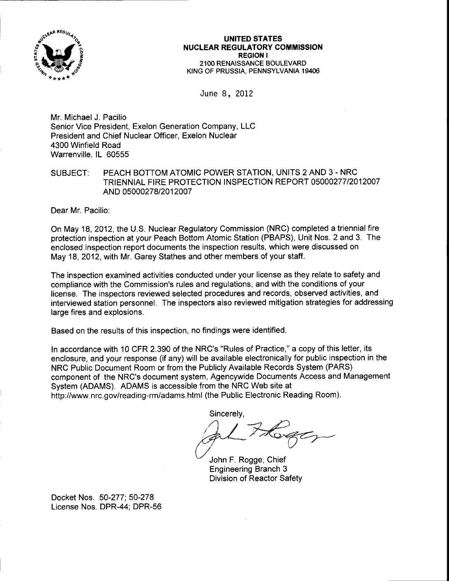

### UNITED STATES NUCLEAR REGULATORY COMMISSION REGION I 21OO RENAISSANCE BOULEVARD KING OF PRUSSIA. PENNSYLVANIA 19406

June 8, 2012

Mr. Michael J. Pacilio Senior Vice President, Exelon Generation Company, LLC President and Chief Nuclear Officer, Exelon Nuclear 4300 Winfield Road Warrenville, lL 60555

## SUBJECT: PEACH BOTTOM ATOMIC POWER STATION, UNITS 2 AND 3 - NRC TRIENNIAL FIRE PROTECTION INSPECTION REPORT 05000277/2012007 AND 05000278/2012007

Dear Mr. Pacilio:

On May 18,2012, the U.S. Nuclear Regulatory Commission (NRC) completed a triennial fire protection inspection at your Peach Bottom Atomic Station (PBAPS), Unit Nos. 2 and 3. The enclosed inspection report documents the inspection results, which were discussed on May 18,2012, with Mr. Garey Stathes and other members of your staff.

The inspection examined activities conducted under your license as they relate to safety and compliance with the Commission's rules and regulations, and with the conditions of your license. The inspectors reviewed selected procedures and records, observed activities, and interviewed station personnel. The inspectors also reviewed mitigation strategies for addressing large fires and explosions.

Based on the results of this inspection, no findings were identified.

ln accordance with 10 CFR 2390 of the NRC's "Rules of Practice," a copy of this letter, its enclosure, and your response (if any) will be available electronically for public inspection in the NRC Public Document Room or from the Publicly Available Records System (PARS) component of the NRC's document system, Agencywide Documents Access and Management System (ADAMS). ADAMS is accessible from the NRC Web site at http://www nrc.gov/reading-rm/adams.html (the Public Electronic Reading Room).

Sincerely,<br> **Allen F. Rogge, Chief**<br>
John F. Rogge, Chief

Engineering Branch 3 Division of Reactor Safety

Docket Nos. 50-277: 50-278 License Nos. DPR-44; DPR-56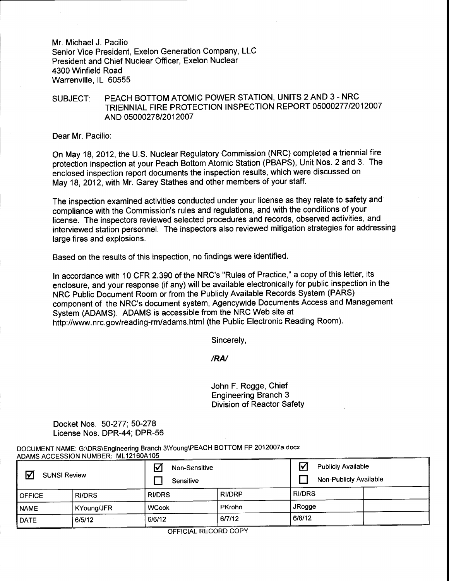Mr. Michael J. Pacilio Senior Vice President, Exelon Generation Company, LLC President and Chief Nuclear Officer, Exelon Nuclear 4300 Winfield Road Warrenville, lL 60555

SUBJECT: PEACH BOTTOM ATOMIC POWER STATION, UNITS 2 AND 3 - NRC TRIENNIAL FIRE PROTECTION INSPECTION REPORT 05000277/2012007 AND 0500027812012007

Dear Mr. Pacilio:

On May 18,2012, the U.S. Nuclear Regulatory Commission (NRC) completed a triennial fire protection inspection at your Peach Bottom Atomic Station (PBAPS), Unit Nos. 2 and 3. The enclosed inspection report documents the inspection results, which were discussed on May 18,2012, with Mr. Garey Stathes and other members of your staff.

The inspection examined activities conducted under your license as they relate to safety and compliance with the Commission's rules and regulations, and with the conditions of your license. The inspectors reviewed selected procedures and records, observed activities, and interviewed station personnel. The inspectors also reviewed mitigation strategies for addressing large fires and explosions.

Based on the results of this inspection, no findings were identified.

ln accordance with 10 CFR 2.390 of the NRC's "Rules of Practice," a copy of this letter, its enclosure, and your response (if any) will be available electronically for public inspection in the NRC Public Document Room or from the Publicly Available Records System (PARS) component of the NRC's document system, Agencywide Documents Access and Management System (ADAMS). ADAMS is accessible from the NRC Web site at http://www.nrc.gov/reading-rm/adams.html (the Public Electronic Reading Room).

Sincerely,

/RN

John F. Rogge, Chief Engineering Branch 3 Division of Reactor Safety

Docket Nos. 50-277, 50-278 License Nos. DPR-44; DPR-56

DOCUMENT NAME: G:\DRS\Engineering Branch 3\Young\PEACH BOTTOM FP 2012007a.docx ADAMS ACCESSION NUMBER: ML121604105

| ☑<br><b>SUNSI Review</b> |               | Non-Sensitive<br>Sensitive |               | ☑<br><b>Publicly Available</b><br>Non-Publicly Available |
|--------------------------|---------------|----------------------------|---------------|----------------------------------------------------------|
| <b>OFFICE</b>            | <b>RI/DRS</b> | <b>RI/DRS</b>              | <b>RI/DRP</b> | <b>RI/DRS</b>                                            |
| <b>NAME</b>              | KYoung/JFR    | <b>WCook</b>               | PKrohn        | JRogge                                                   |
| <b>DATE</b>              | 6/5/12        | 6/6/12                     | 6/7/12        | 6/8/12                                                   |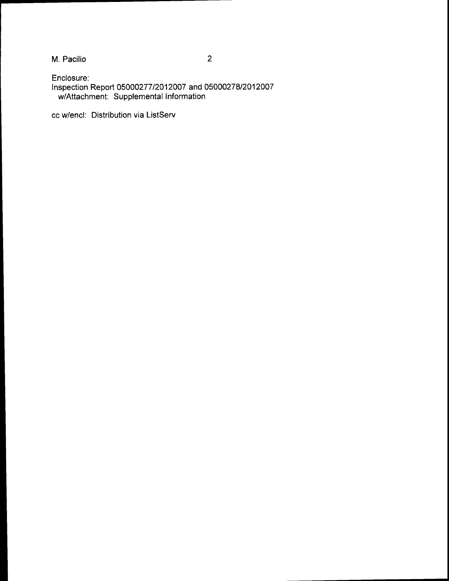M. Pacilio

 $\overline{2}$ 

Enclosure: Inspection Report 05000277/2012007 and 05000278/2012007 w/Attachment: Supplemental Information

cc w/encl: Distribution via ListServ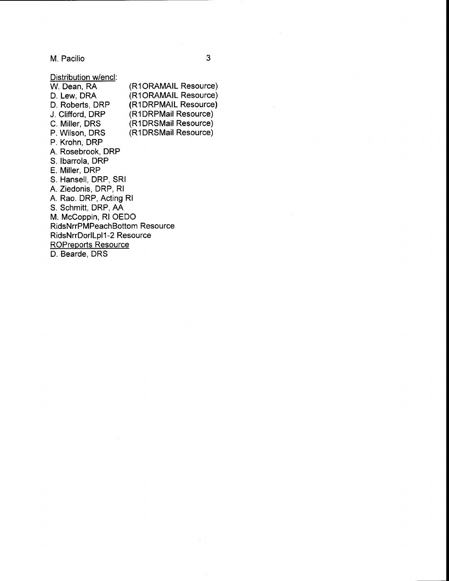M. Pacilio <sup>3</sup>

Distribution w/encl:<br>W. Dean, RA W. Dean, RA (R1ORAMAIL Resource)<br>D. Lew, DRA (R1ORAMAIL Resource) D. Lew, DRA (R1ORAMAIL Resource)<br>D. Roberts, DRP (R1DRPMAIL Resource) D. Roberts, DRP (R1DRPMAIL Resource)<br>J. Clifford, DRP (R1DRPMail Resource) J. Clifford, DRP (R1DRPMail Resource)<br>C. Miller, DRS (R1DRSMail Resource) C. Miller, DRS (R1DRSMail Resource)<br>P. Wilson, DRS (R1DRSMail Resource) (R1DRSMail Resource) P. Krohn, DRP A. Rosebrook, DRP S. lbarrola, DRP E. Miller, DRP S. Hansell, DRP, SRI A. Ziedonis, DRP, Rl A. Rao. DRP, Acting Rl S. Schmitt, DRP, AA M. McCoppin, Rl OEDO RidsNrrPMPeachBottom Resource RidsNrrDorlLpl1-2 Resource ROPreports Resource

D. Bearde. DRS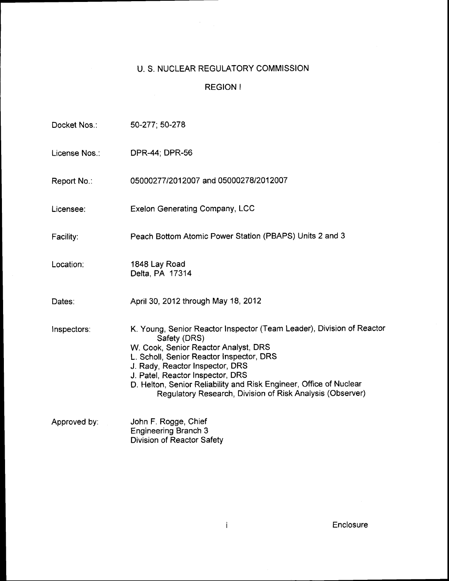# U. S. NUCLEAR REGULATORY COMMISSION

# REGION <sup>I</sup>

| Docket Nos∴  | 50-277; 50-278                                                                                                                                                                                                                                                                                                                                                                      |
|--------------|-------------------------------------------------------------------------------------------------------------------------------------------------------------------------------------------------------------------------------------------------------------------------------------------------------------------------------------------------------------------------------------|
| License Nos∴ | DPR-44; DPR-56                                                                                                                                                                                                                                                                                                                                                                      |
| Report No.:  | 05000277/2012007 and 05000278/2012007                                                                                                                                                                                                                                                                                                                                               |
| Licensee:    | <b>Exelon Generating Company, LCC</b>                                                                                                                                                                                                                                                                                                                                               |
| Facility:    | Peach Bottom Atomic Power Station (PBAPS) Units 2 and 3                                                                                                                                                                                                                                                                                                                             |
| Location:    | 1848 Lay Road<br>Delta, PA 17314                                                                                                                                                                                                                                                                                                                                                    |
| Dates:       | April 30, 2012 through May 18, 2012                                                                                                                                                                                                                                                                                                                                                 |
| Inspectors:  | K. Young, Senior Reactor Inspector (Team Leader), Division of Reactor<br>Safety (DRS)<br>W. Cook, Senior Reactor Analyst, DRS<br>L. Scholl, Senior Reactor Inspector, DRS<br>J. Rady, Reactor Inspector, DRS<br>J. Patel, Reactor Inspector, DRS<br>D. Helton, Senior Reliability and Risk Engineer, Office of Nuclear<br>Regulatory Research, Division of Risk Analysis (Observer) |
| Approved by: | John F. Rogge, Chief<br><b>Engineering Branch 3</b><br><b>Division of Reactor Safety</b>                                                                                                                                                                                                                                                                                            |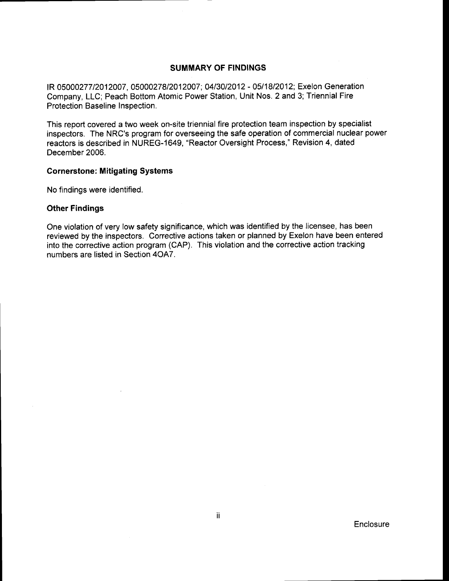### SUMMARY OF FINDINGS

IR 05000277/2012007, 05000278/2012007; 04/30/2012 - 05/18/2012; Exelon Generation Company, LLC; Peach Bottom Atomic Power Station, Unit Nos. 2 and 3; Triennial Fire Protection Baseline Inspection.

This report covered a two week on-site triennial fire protection team inspection by specialist inspectors. The NRC's program for overseeing the safe operation of commercial nuclear power reactors is described in NUREG-1649, "Reactor Oversight Process," Revision 4, dated December 2006.

### Gornerstone: Mitigating Systems

No findings were identified.

### Other Findings

One violation of very low safety significance, which was identified by the licensee, has been reviewed by the inspectors. Corrective actions taken or planned by Exelon have been entered into the corrective action program (CAP). This violation and the corrective action tracking numbers are listed in Section 4OA7.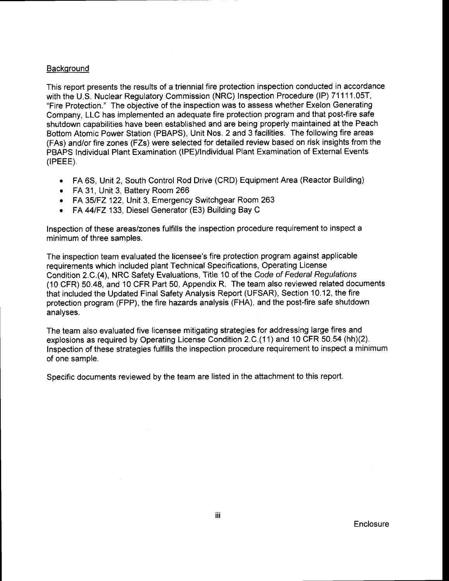### **Background**

This report presents the results of a triennial fire protection inspection conducted in accordance with the U.S. Nuclear Regulatory Commission (NRC) Inspection Procedure (lP) 71111.05T, "Fire Protection." The objective of the inspection was to assess whether Exelon Generating Company, LLC has implemented an adequate fire protection program and that post-fire safe shutdown capabilities have been established and are being properly maintained at the Peach Bottom Atomic Power Station (PBAPS), Unit Nos. 2 and 3 facilities. The following fire areas (FAs) and/or fire zones (FZs) were selected for detailed review based on risk insights from the PBAPS Individual Plant Examination (lPE)/lndividual Plant Examination of External Events  $(IPEEE)$ .

- FA 6S, Unit 2, South Control Rod Drive (CRD) Equipment Area (Reactor Building)
- FA 31, Unit 3, Battery Room 266
- FA 35/FZ 122, Unit 3, Emergency Switchgear Room 263
- . FA 44lFZ 133, Diesel Generator (E3) Building Bay <sup>C</sup>

Inspection of these areas/zones fulfills the inspection procedure requirement to inspect a minimum of three samples.

The inspection team evaluated the licensee's fire protection program against applicable requirements which included plant Technical Specifications, Operating License Condition 2.C.(4), NRC Safety Evaluations, Title 10 of the Code of Federal Regulations (10 CFR) 50.48, and 10 CFR Part 50, Appendix R. The team also reviewed related documents that included the Updated Final Safety Analysis Report (UFSAR), Section 10.12, the fire protection program (FPP), the fire hazards analysis (FHA), and the post-fire safe shutdown analyses.

The team also evaluated five licensee mitigating strategies for addressing large fires and explosions as required by Operating License Condition 2.C.(11) and 10 CFR 50.54 (hh)(2). Inspection of these strategies fulfills the inspection procedure requirement to inspect a minimum of one sample.

Specific documents reviewed by the team are listed in the attachment to this report.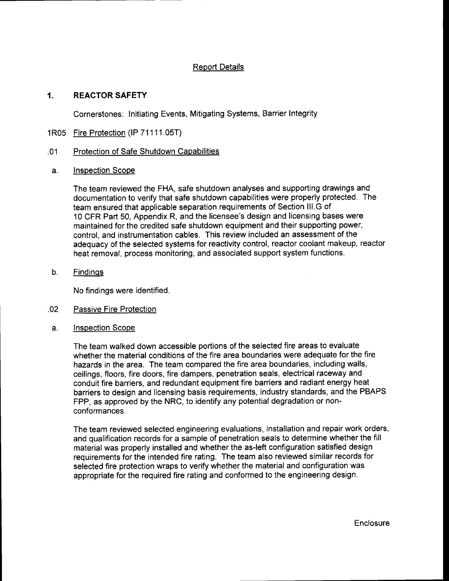## Report Details

# 1. REACTORSAFETY

Cornerstones: Initiating Events, Mitigating Systems, Barrier Integrity

1R05 Fire Protection (IP 71111.05T)

### .01 Protection of Safe Shutdown Capabilities

a. Inspection Scope

The team reviewed the FHA, safe shutdown analyses and supporting drawings and documentation to verify that safe shutdown capabilities were properly protected. The team ensured that applicable separation requirements of Section lll.G of 10 CFR Part 50, Appendix R, and the licensee's design and licensing bases were maintained for the credited safe shutdown equipment and their supporting power, control, and instrumentation cables. This review included an assessment of the adequacy of the selected systems for reactivity control, reactor coolant makeup, reactor heat removal, process monitoring, and associated support system functions.

b. Findinqs

No findings were identified.

- .02 Passive Fire Protection
- a. Inspection Scope

The team walked down accessible portions of the selected fire areas to evaluate whether the material conditions of the fire area boundaries were adequate for the fire hazards in the area. The team compared the fire area boundaries, including walls, ceilings, floors, fire doors, fire dampers, penetration seals, electrical raceway and conduit fire barriers, and redundant equipment fire barriers and radiant energy heat barriers to design and licensing basis requirements, industry standards, and the PBAPS FPP, as approved by the NRC, to identify any potential degradation or nonconformances.

The team reviewed selected engineering evaluations, installation and repair work orders, and qualification records for a sample of penetration seals to determine whether the fill material was properly installed and whether the as-left configuration satisfied design requirements for the intended fire rating. The team also reviewed similar records for selected fire protection wraps to verify whether the material and configuration was appropriate for the required fire rating and conformed to the engineering design.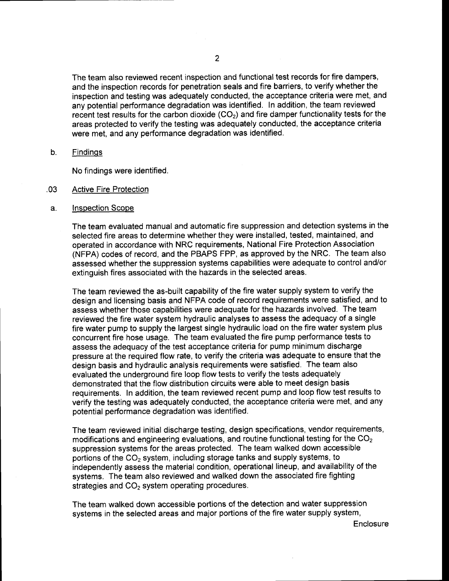The team also reviewed recent inspection and functional test records for fire dampers, and the inspection records for penetration seals and fire barriers, to verify whether the inspection and testing was adequately conducted, the acceptance criteria were met, and any potential performance degradation was identified. In addition, the team reviewed recent test results for the carbon dioxide  $(CO<sub>2</sub>)$  and fire damper functionality tests for the areas protected to verify the testing was adequately conducted, the acceptance criteria were met, and any performance degradation was identified.

 $b<sub>1</sub>$ **Findings** 

No findings were identified.

- .03 Active Fire Protection
- lnspection Scope a.

The team evaluated manual and automatic fire suppression and detection systems in the selected fire areas to determine whether they were installed, tested, maintained, and operated in accordance with NRC requirements, National Fire Protection Association (NFPA) codes of record, and the PBAPS FPP, as approved by the NRC. The team also assessed whether the suppression systems capabilities were adequate to control and/or extinguish fires associated with the hazards in the selected areas.

The team reviewed the as-built capability of the fire water supply system to verify the design and licensing basis and NFPA code of record requirements were satisfied, and to assess whether those capabilities were adequate for the hazards involved. The team reviewed the fire water system hydraulic analyses to assess the adequacy of a single fire water pump to supply the largest single hydraulic load on the fire water system plus concurrent fire hose usage. The team evaluated the fire pump performance tests to assess the adequacy of the test acceptance criteria for pump minimum discharge pressure at the required flow rate, to verify the criteria was adequate to ensure that the design basis and hydraulic analysis requirements were satisfied. The team also evaluated the underground fire loop flow tests to verify the tests adequately demonstrated that the flow distribution circuits were able to meet design basis requirements. In addition, the team reviewed recent pump and loop flow test results to verify the testing was adequately conducted, the acceptance criteria were met, and any potential performance degradation was identified.

The team reviewed initial discharge testing, design specifications, vendor requirements, modifications and engineering evaluations, and routine functional testing for the CO<sub>2</sub> suppression systems for the areas protected. The team walked down accessible portions of the  $CO<sub>2</sub>$  system, including storage tanks and supply systems, to independently assess the material condition, operational lineup, and availability of the systems. The team also reviewed and walked down the associated fire fighting strategies and  $CO<sub>2</sub>$  system operating procedures.

The team walked down accessible portions of the detection and water suppression systems in the selected areas and major portions of the fire water supply system,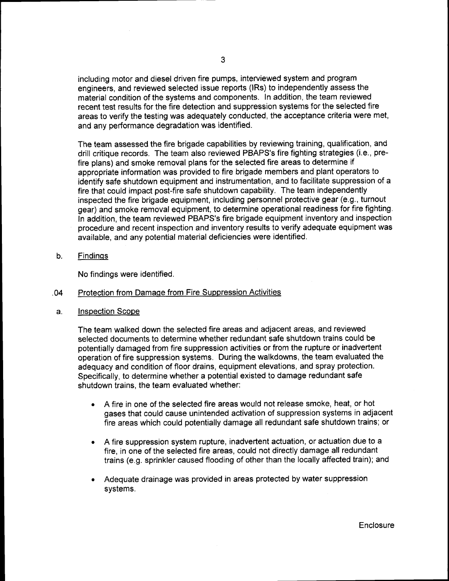including motor and diesel driven fire pumps, interviewed system and program engineers, and reviewed selected issue reports (lRs) to independently assess the material condition of the systems and components. In addition, the team reviewed recent test results for the fire detection and suppression systems for the selected fire areas to verify the testing was adequately conducted, the acceptance criteria were met, and any performance degradation was identified.

The team assessed the fire brigade capabilities by reviewing training, qualification, and drill critique records. The team also reviewed PBAPS's fire fighting strategies (i.e., prefire plans) and smoke removal plans for the selected fire areas to determine if appropriate information was provided to fire brigade members and plant operators to identify safe shutdown equipment and instrumentation, and to facilitate suppression of a fire that could impact post-fire safe shutdown capability, The team independently inspected the fire brigade equipment, including personnel protective gear (e.9., turnout gear) and smoke removal equipment, to determine operational readiness for fire fighting. In addition, the team reviewed PBAPS's fire brigade equipment inventory and inspection procedure and recent inspection and inventory results to verify adequate equipment was available, and any potential material deficiencies were identified.

Findinqs  $\mathbf{b}$ .

No findings were identified.

- .04 Protection from Damage from Fire Suppression Activities
- Inspection Scope a.

The team walked down the selected fire areas and adjacent areas, and reviewed selected documents to determine whether redundant safe shutdown trains could be potentially damaged from fire suppression activities or from the rupture or inadvertent operation of fire suppression systems. During the walkdowns, the team evaluated the adequacy and condition of floor drains, equipment elevations, and spray protection. Specifically, to determine whether a potential existed to damage redundant safe shutdown trains, the team evaluated whether:

- o A fire in one of the selected fire areas would not release smoke, heat, or hot gases that could cause unintended activation of suppression systems in adjacent fire areas which could potentially damage all redundant safe shutdown trains; or
- o A fire suppression system rupture, inadvertent actuation, or actuation due to <sup>a</sup> fire, in one of the selected fire areas, could not directly damage all redundant trains (e.9. sprinkler caused flooding of other than the locally affected train); and
- Adequate drainage was provided in areas protected by water suppression systems.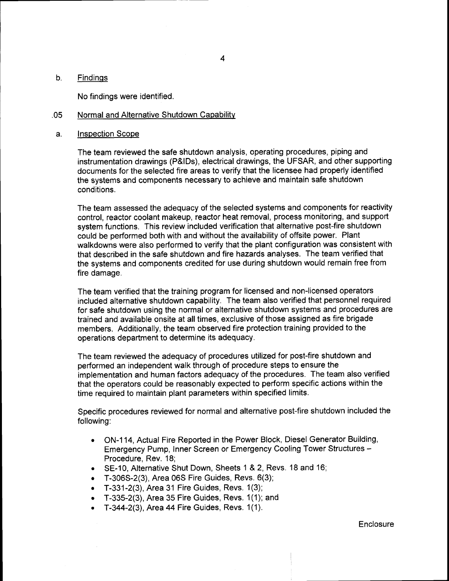#### b. **Findings**

No findings were identified.

#### .05 Normal and Alternative Shutdown Capability

#### a. Inspection Scope

The team reviewed the safe shutdown analysis, operating procedures, piping and instrumentation drawings (P&lDs), electrical drawings, the UFSAR, and other supporting documents for the selected fire areas to verify that the licensee had properly identified the systems and components necessary to achieve and maintain safe shutdown conditions.

The team assessed the adequacy of the selected systems and components for reactivity control, reactor coolant makeup, reactor heat removal, process monitoring, and support system functions. This review included verification that alternative post-fire shutdown could be performed both with and without the availability of offsite power. Plant walkdowns were also performed to verify that the plant configuration was consistent with that described in the safe shutdown and fire hazards analyses. The team verified that the systems and components credited for use during shutdown would remain free from fire damage.

The team verified that the training program for licensed and non-licensed operators included alternative shutdown capability. The team also verified that personnel required for safe shutdown using the normal or alternative shutdown systems and procedures are trained and available onsite at all times, exclusive of those assigned as fire brigade members. Additionally, the team observed fire protection training provided to the operations department to determine its adequacy.

The team reviewed the adequacy of procedures utilized for post-fire shutdown and performed an independent walk through of procedure steps to ensure the implementation and human factors adequacy of the procedures. The team also verified that the operators could be reasonably expected to perform specific actions within the time required to maintain plant parameters within specified limits.

Specific procedures reviewed for normal and alternative post-fire shutdown included the following:

- . ON-114, Actual Fire Reported in the Power Block, Diesel Generator Building, Emergency Pump, Inner Screen or Emergency Cooling Tower Structures - Procedure, Rev. 18;
- . SE-10, Alternative Shut Down, Sheets 1 &2, Revs. 18 and 16;
- $\bullet$  T-306S-2(3), Area 06S Fire Guides, Revs. 6(3);
- . T-331-2(3), Area 31 Fire Guides, Revs. 1(3);
- . T-335-2(3), Area 35 Fire Guides, Revs, 1(1); and
- . T-344-2(3), Area 44Fire Guides, Revs. 1(1).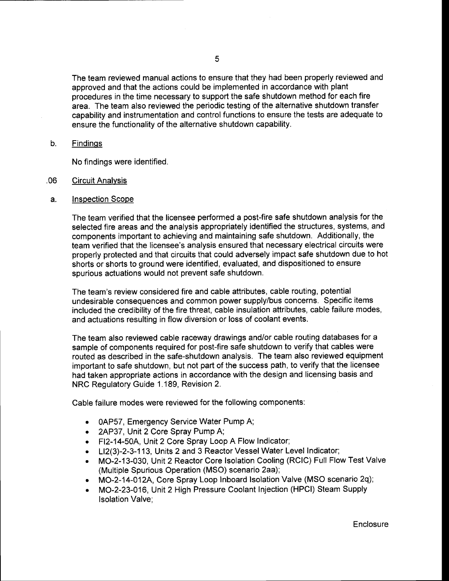The team reviewed manual actions to ensure that they had been properly reviewed and approved and that the actions could be implemented in accordance with plant procedures in the time necessary to support the safe shutdown method for each fire area. The team also reviewed the periodic testing of the alternative shutdown transfer capability and instrumentation and control functions to ensure the tests are adequate to ensure the functionality of the alternative shutdown capability.

#### b. Findinqs

No findings were identified.

- Circuit Analvsis .06
- Inspection Scope a.

The team verified that the licensee performed a post-fire safe shutdown analysis for the selected fire areas and the analysis appropriately identified the structures, systems, and components important to achieving and maintaining safe shutdown. Additionally, the team verified that the licensee's analysis ensured that necessary electrical circuits were properly protected and that circuits that could adversely impact safe shutdown due to hot shorts or shorts to ground were identified, evaluated, and dispositioned to ensure spurious actuations would not prevent safe shutdown.

The team's review considered fire and cable attributes, cable routing, potential undesirable consequences and common power supply/bus concerns. Specific items included the credibility of the fire threat, cable insulation attributes, cable failure modes, and actuations resulting in flow diversion or loss of coolant events.

The team also reviewed cable raceway drawings and/or cable routing databases for a sample of components required for post-fire safe shutdown to verify that cables were routed as described in the safe-shutdown analysis. The team also reviewed equipment important to safe shutdown, but not part of the success path, to verify that the licensee had taken appropriate actions in accordance with the design and licensing basis and NRC Regulatory Guide 1.189, Revision 2.

Cable failure modes were reviewed for the following components:

- . 0AP57, Emergency Service Water Pump A;
- . 2AP37, Unit 2 Core Spray Pump A;
- . Fl2-14-50A, Unit 2 Core Spray Loop A Flow Indicator;
- . Ll2(3)-2-3-1 13, Units 2 and 3 Reactor Vessel Water Level Indicator;
- . MO-2-13-030, Unit 2 Reactor Core lsolation Cooling (RCIC) Full Flow Test Valve (Multiple Spurious Operation (MSO) scenario 2aa);
- . MO-2-14-O12A, Core Spray Loop Inboard lsolation Valve (MSO scenario 2q);
- . MO-2-23-016, Unit 2 High Pressure Coolant lnjection (HPCI) Steam Supply lsolation Valve: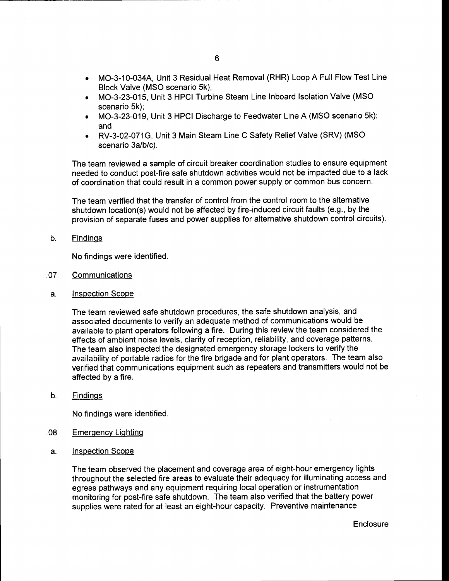- . MO-3-10-034A, Unit 3 Residual Heat Removal (RHR) Loop A Full Flow Test Line Block Valve (MSO scenario 5k);
- . MO-3-23-015, Unit 3 HPCI Turbine Steam Line Inboard lsolation Valve (MSO scenario 5k);
- . MO-3-23-019, Unit 3 HPCI Discharge to Feedwater Line A (MSO scenario 5k); and
- o RV-3-02-071G, Unit 3 Main Steam Line C Safety Relief Valve (SRV) (MSO scenario 3a/b/c).

The team reviewed a sample of circuit breaker coordination studies to ensure equipment needed to conduct post-fire safe shutdown activities would not be impacted due to a lack of coordination that could result in a common power supply or common bus concern.

The team verified that the transfer of control from the control room to the alternative shutdown location(s) would not be affected by fire-induced circuit faults (e.9., by the provision of separate fuses and power supplies for alternative shutdown control circuits).

 $b<sub>1</sub>$ **Findings** 

No findings were identified.

- ,Q7 **Communications**
- a. Inspection Scope

The team reviewed safe shutdown procedures, the safe shutdown analysis, and associated documents to verify an adequate method of communications would be available to plant operators following a fire. During this review the team considered the effects of ambient noise levels, clarity of reception, reliability, and coverage patterns. The team also inspected the designated emergency storage lockers to verify the availability of portable radios for the fire brigade and for plant operators. The team also verified that communications equipment such as repeaters and transmitters would not be affected by a fire.

 $b<sub>1</sub>$ **Findings** 

No findings were identified.

- Emerqencv Liqhtinq .08
- Inspection Scope a.

The team observed the placement and coverage area of eight-hour emergency lights throughout the selected fire areas to evaluate their adequacy for illuminating access and egress pathways and any equipment requiring local operation or instrumentation monitoring for post-fire safe shutdown. The team also verified that the battery power supplies were rated for at least an eight-hour capacity. Preventive maintenance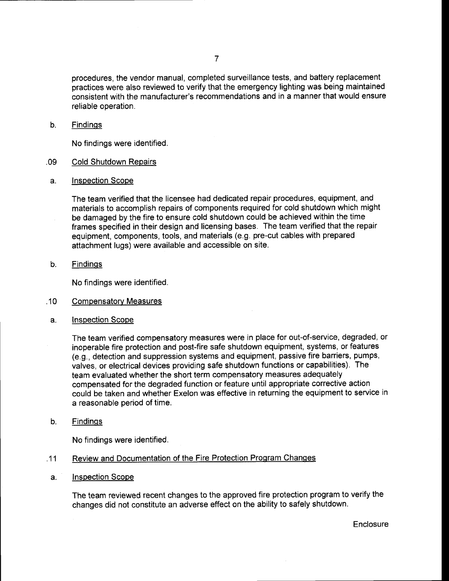procedures, the vendor manual, completed surveillance tests, and battery replacement practices were also reviewed to verify that the emergency lighting was being maintained consistent with the manufacturer's recommendations and in a manner that would ensure reliable operation.

b. **Findings** 

No findings were identified.

- .09 Cold Shutdown Repairs
- a. Inspection Scope

The team verified that the licensee had dedicated repair procedures, equipment, and materials to accomplish repairs of components required for cold shutdown which might be damaged by the fire to ensure cold shutdown could be achieved within the time frames specified in their design and licensing bases. The team verified that the repair equipment, components, tools, and materials (e.9. pre-cut cables with prepared attachment lugs) were available and accessible on site.

**Findings**  $b<sub>1</sub>$ 

No findings were identified.

- Compensatorv Measures .10
- a. lnspection Scope

The team verified compensatory measures were in place for out-of-service, degraded, or inoperable fire protection and post-fire safe shutdown equipment, systems, or features (e.g., detection and suppression systems and equipment, passive fire barriers, pumps, valves, or electrical devices providing safe shutdown functions or capabilities). The team evaluated whether the short term compensatory measures adequately compensated for the degraded function or feature until appropriate corrective action could be taken and whether Exelon was effective in returning the equipment to service in a reasonable period of time.

Findinqs b.

No findings were identified.

- Review and Documentation of the Fire Protection Program Changes .11
- lnspection Scope a.

The team reviewed recent changes to the approved fire protection program to verify the changes did not constitute an adverse effect on the ability to safely shutdown.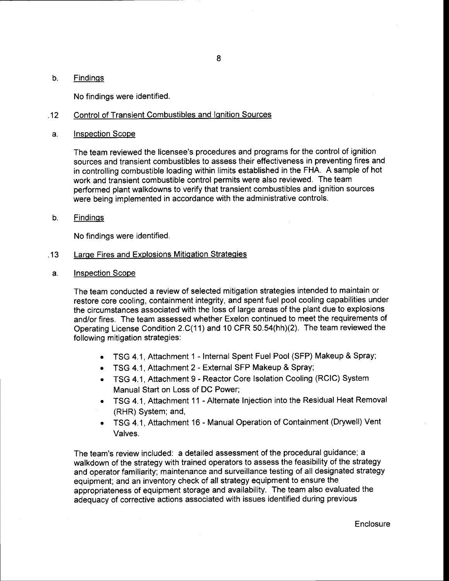#### b. **Findings**

No findings were identified.

#### Control of Transient Combustibles and Ignition Sources .12

Inspection Scope a.

> The team reviewed the licensee's procedures and programs for the control of ignition sources and transient combustibles to assess their effectiveness in preventing fires and in controlling combustible loading within limits established in the FHA. A sample of hot work and transient combustible control permits were also reviewed. The team performed plant walkdowns to verify that transient combustibles and ignition sources were being implemented in accordance with the administrative controls.

**Findings** b.

No findings were identified.

- **Large Fires and Explosions Mitigation Strategies** .13
- Inspection Scope a.

The team conducted a review of selected mitigation strategies intended to maintain or restore core cooling, containment integrity, and spent fuel pool cooling capabilities under the circumstances associated with the loss of large areas of the plant due to explosions and/or fires. The team assessed whether Exelon continued to meet the requirements of Operating License Condition 2.C(11) and 10 CFR 50.54(hh)(2). The team reviewed the following mitigation strategies:

- . TSG 4.1, Attachment 1 Internal Spent Fuel Pool (SFP) Makeup & Spray;
- . TSG 4.1, Attachment 2 External SFP Makeup & Spray;
- TSG 4.1, Attachment 9 Reactor Core Isolation Cooling (RCIC) System Manual Start on Loss of DC Power;
- e TSG 4.1, Attachment 11 Alternate Injection into the Residual Heat Removal (RHR) System; and,
- . TSG 4.1, Attachment 16 Manual Operation of Containment (Drywell) Vent Valves.

The team's review included: a detailed assessment of the procedural guidance; a walkdown of the strategy with trained operators to assess the feasibility of the strategy and operator familiarity; maintenance and surveillance testing of all designated strategy equipment; and an inventory check of all strategy equipment to ensure the appropriateness of equipment storage and availability. The team also evaluated the adequacy of corrective actions associated with issues identified during previous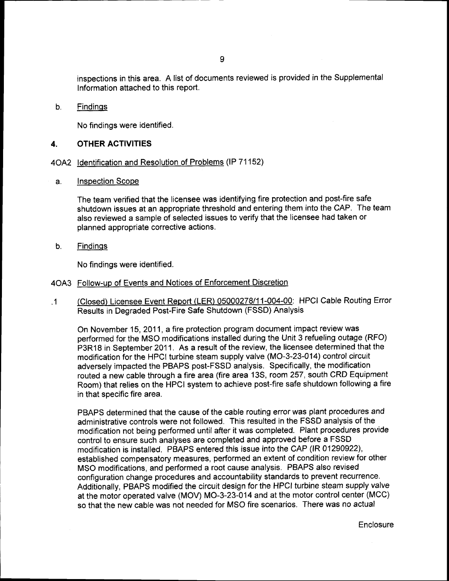inspections in this area. A list of documents reviewed is provided in the Supplementa lnformation attached to this report.

b. **Findings** 

No findings were identified.

#### 4. OTHER ACTIVITIES

# 4OA2 Identification and Resolution of Problems (IP 71152)

a. Inspection Scope

> The team verified that the licensee was identifying fire protection and post-fire safe shutdown issues at an appropriate threshold and entering them into the CAP. The team also reviewed a sample of selected issues to verify that the licensee had taken or planned appropriate corrective actions.

 $b<sub>1</sub>$ Findinqs

No findings were identified.

- 4043 Follow-up of Events and Notices of Enforcement Discretion
- .1 (Closed) Licensee Event Report (LER) 05000278/11-004-00: HPCI Cable Routing Error Results in Degraded Post-Fire Safe Shutdown (FSSD) Analysis

On November 15, 2011, a fire protection program document impact review was performed for the MSO modifications installed during the Unit 3 refueling outage (RFO) P3R18 in September 2011. As a result of the review, the licensee determined that the modification for the HPCI turbine steam supply valve (MO-3-23-014) control circuit adversely impacted the PBAPS post-FSSD analysis. Specifically, the modification routed a new cable through a fire area (fire area 13S, room 257, south CRD Equipment Room) that relies on the HPCI system to achieve post-fire safe shutdown following a fire in that specific fire area.

PBAPS determined that the cause of the cable routing error was plant procedures and administrative controls were not followed. This resulted in the FSSD analysis of the modification not being performed until after it was completed. Plant procedures provide control to ensure such analyses are completed and approved before a FSSD modification is installed. PBAPS entered this issue into the CAP (lR 01290922), established compensatory measures, performed an extent of condition review for other MSO modifications, and performed a root cause analysis. PBAPS also revised configuration change procedures and accountability standards to prevent recurrence. Additionally, PBAPS modified the circuit design for the HPCI turbine steam supply valve at the motor operated valve (MOV) MO-3-23-014 and at the motor control center (MCC) so that the new cable was not needed for MSO fire scenarios. There was no actual